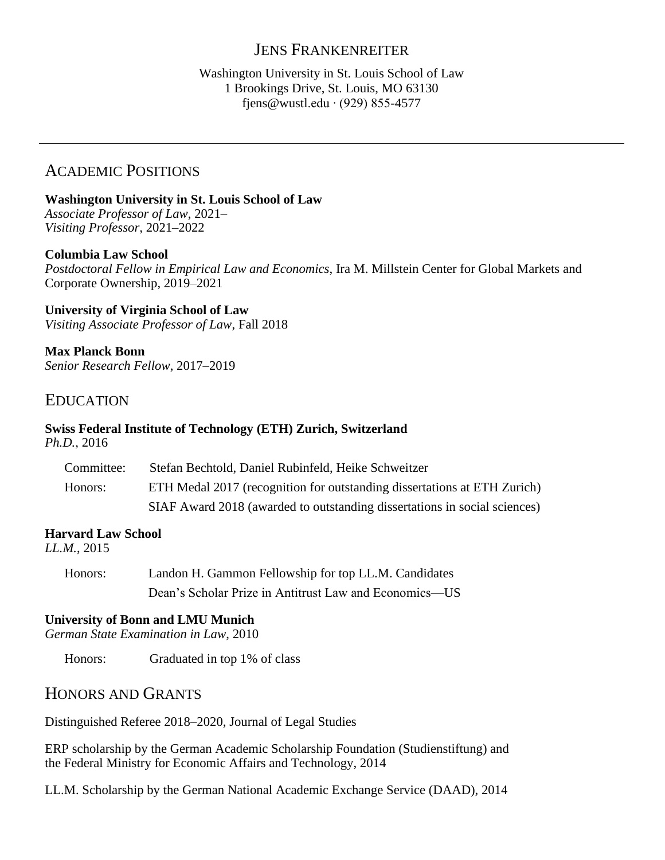## JENS FRANKENREITER

#### Washington University in St. Louis School of Law 1 Brookings Drive, St. Louis, MO 63130 fjens@wustl.edu ∙ (929) 855-4577

# ACADEMIC POSITIONS

**Washington University in St. Louis School of Law** *Associate Professor of Law*, 2021– *Visiting Professor,* 2021–2022

#### **Columbia Law School**

*Postdoctoral Fellow in Empirical Law and Economics*, Ira M. Millstein Center for Global Markets and Corporate Ownership, 2019–2021

**University of Virginia School of Law**  *Visiting Associate Professor of Law*, Fall 2018

**Max Planck Bonn**  *Senior Research Fellow*, 2017–2019

## EDUCATION

#### **Swiss Federal Institute of Technology (ETH) Zurich, Switzerland** *Ph.D.*, 2016

| Committee: | Stefan Bechtold, Daniel Rubinfeld, Heike Schweitzer                       |
|------------|---------------------------------------------------------------------------|
| Honors:    | ETH Medal 2017 (recognition for outstanding dissertations at ETH Zurich)  |
|            | SIAF Award 2018 (awarded to outstanding dissertations in social sciences) |

#### **Harvard Law School**

*LL.M.*, 2015

Honors: Landon H. Gammon Fellowship for top LL.M. Candidates Dean's Scholar Prize in Antitrust Law and Economics—US

#### **University of Bonn and LMU Munich**

*German State Examination in Law*, 2010

Honors: Graduated in top 1% of class

## HONORS AND GRANTS

Distinguished Referee 2018–2020, Journal of Legal Studies

ERP scholarship by the German Academic Scholarship Foundation (Studienstiftung) and the Federal Ministry for Economic Affairs and Technology, 2014

LL.M. Scholarship by the German National Academic Exchange Service (DAAD), 2014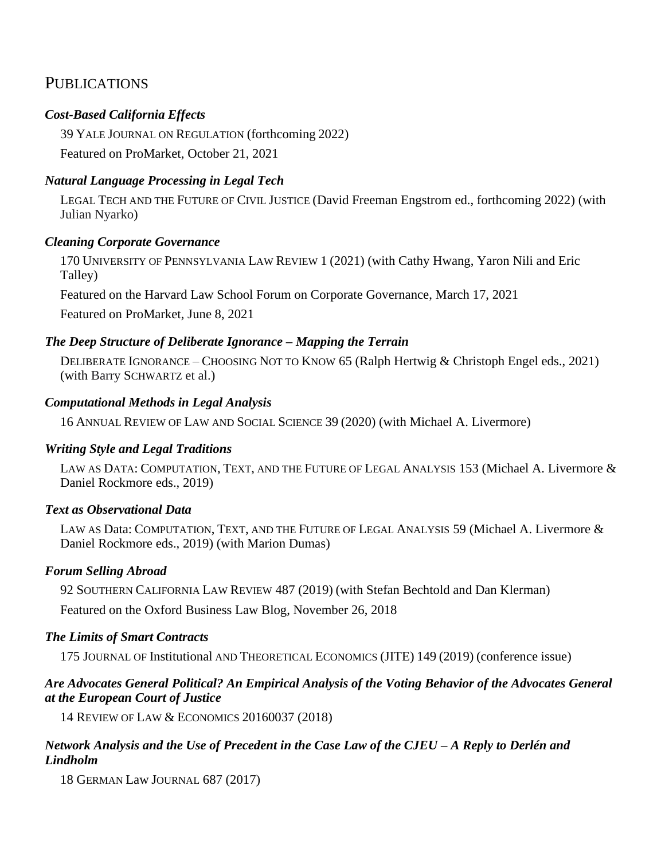# **PUBLICATIONS**

## *Cost-Based California Effects*

39 YALE JOURNAL ON REGULATION (forthcoming 2022) Featured on ProMarket, October 21, 2021

## *Natural Language Processing in Legal Tech*

LEGAL TECH AND THE FUTURE OF CIVIL JUSTICE (David Freeman Engstrom ed., forthcoming 2022) (with Julian Nyarko)

## *Cleaning Corporate Governance*

170 UNIVERSITY OF PENNSYLVANIA LAW REVIEW 1 (2021) (with Cathy Hwang, Yaron Nili and Eric Talley)

Featured on the Harvard Law School Forum on Corporate Governance, March 17, 2021

Featured on ProMarket, June 8, 2021

## *The Deep Structure of Deliberate Ignorance – Mapping the Terrain*

DELIBERATE IGNORANCE – CHOOSING NOT TO KNOW 65 (Ralph Hertwig & Christoph Engel eds., 2021) (with Barry SCHWARTZ et al.)

## *Computational Methods in Legal Analysis*

16 ANNUAL REVIEW OF LAW AND SOCIAL SCIENCE 39 (2020) (with Michael A. Livermore)

## *Writing Style and Legal Traditions*

LAW AS DATA: COMPUTATION, TEXT, AND THE FUTURE OF LEGAL ANALYSIS 153 (Michael A. Livermore & Daniel Rockmore eds., 2019)

## *Text as Observational Data*

LAW AS Data: COMPUTATION, TEXT, AND THE FUTURE OF LEGAL ANALYSIS 59 (Michael A. Livermore & Daniel Rockmore eds., 2019) (with Marion Dumas)

#### *Forum Selling Abroad*

92 SOUTHERN CALIFORNIA LAW REVIEW 487 (2019) (with Stefan Bechtold and Dan Klerman) Featured on the Oxford Business Law Blog, November 26, 2018

#### *The Limits of Smart Contracts*

175 JOURNAL OF Institutional AND THEORETICAL ECONOMICS (JITE) 149 (2019) (conference issue)

#### *Are Advocates General Political? An Empirical Analysis of the Voting Behavior of the Advocates General at the European Court of Justice*

14 REVIEW OF LAW & ECONOMICS 20160037 (2018)

## *Network Analysis and the Use of Precedent in the Case Law of the CJEU – A Reply to Derlén and Lindholm*

18 GERMAN Law JOURNAL 687 (2017)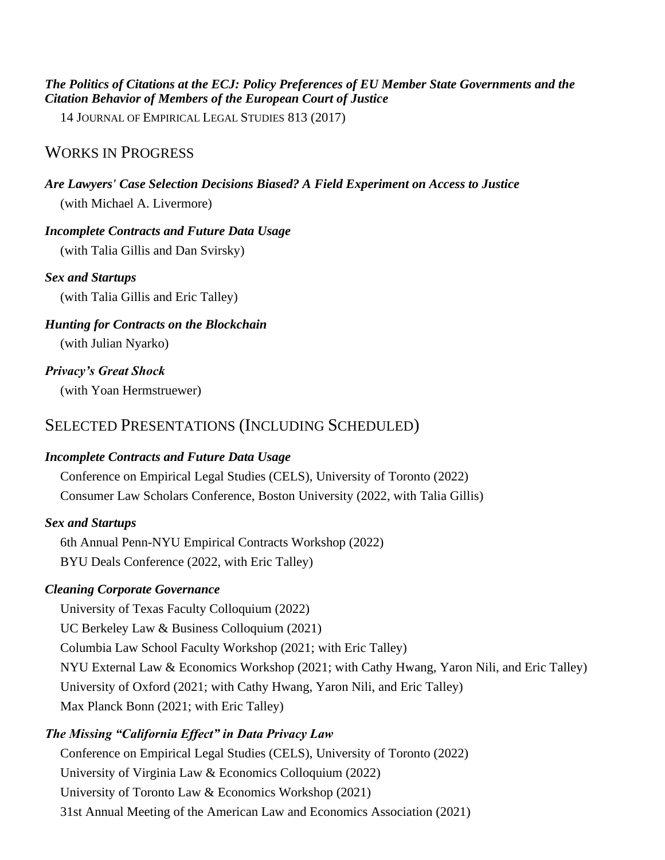#### *The Politics of Citations at the ECJ: Policy Preferences of EU Member State Governments and the Citation Behavior of Members of the European Court of Justice*

14 JOURNAL OF EMPIRICAL LEGAL STUDIES 813 (2017)

## WORKS IN PROGRESS

# *Are Lawyers' Case Selection Decisions Biased? A Field Experiment on Access to Justice*

(with Michael A. Livermore)

## *Incomplete Contracts and Future Data Usage*

(with Talia Gillis and Dan Svirsky)

## *Sex and Startups*

(with Talia Gillis and Eric Talley)

## *Hunting for Contracts on the Blockchain*

(with Julian Nyarko)

## *Privacy's Great Shock*

(with Yoan Hermstruewer)

# SELECTED PRESENTATIONS (INCLUDING SCHEDULED)

## *Incomplete Contracts and Future Data Usage*

Conference on Empirical Legal Studies (CELS), University of Toronto (2022) Consumer Law Scholars Conference, Boston University (2022, with Talia Gillis)

## *Sex and Startups*

6th Annual Penn-NYU Empirical Contracts Workshop (2022) BYU Deals Conference (2022, with Eric Talley)

## *Cleaning Corporate Governance*

University of Texas Faculty Colloquium (2022) UC Berkeley Law & Business Colloquium (2021)

Columbia Law School Faculty Workshop (2021; with Eric Talley)

NYU External Law & Economics Workshop (2021; with Cathy Hwang, Yaron Nili, and Eric Talley) University of Oxford (2021; with Cathy Hwang, Yaron Nili, and Eric Talley) Max Planck Bonn (2021; with Eric Talley)

## *The Missing "California Effect" in Data Privacy Law*

Conference on Empirical Legal Studies (CELS), University of Toronto (2022) University of Virginia Law & Economics Colloquium (2022) University of Toronto Law & Economics Workshop (2021) 31st Annual Meeting of the American Law and Economics Association (2021)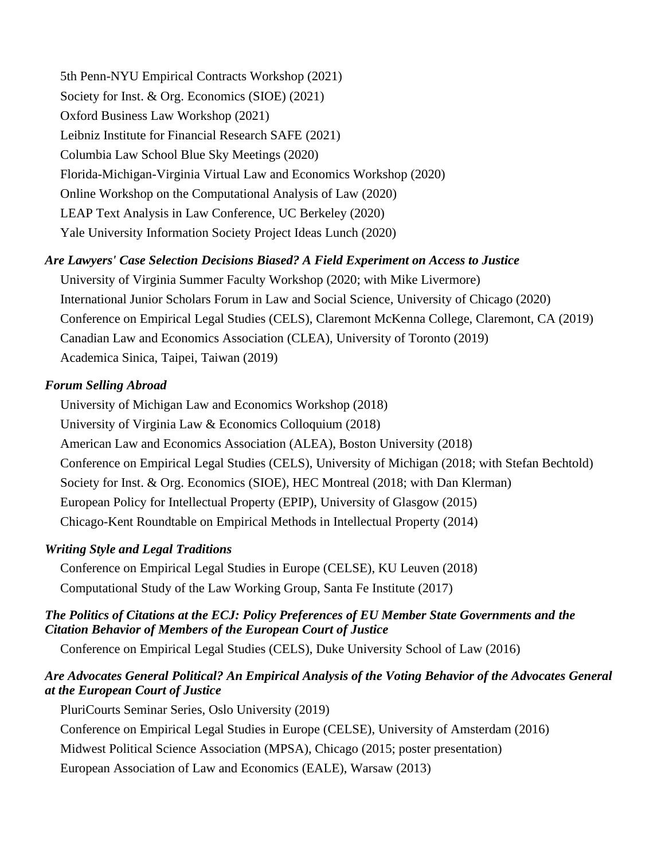5th Penn-NYU Empirical Contracts Workshop (2021) Society for Inst. & Org. Economics (SIOE) (2021) Oxford Business Law Workshop (2021) Leibniz Institute for Financial Research SAFE (2021) Columbia Law School Blue Sky Meetings (2020) Florida-Michigan-Virginia Virtual Law and Economics Workshop (2020) Online Workshop on the Computational Analysis of Law (2020) LEAP Text Analysis in Law Conference, UC Berkeley (2020) Yale University Information Society Project Ideas Lunch (2020)

## *Are Lawyers' Case Selection Decisions Biased? A Field Experiment on Access to Justice*

University of Virginia Summer Faculty Workshop (2020; with Mike Livermore) International Junior Scholars Forum in Law and Social Science, University of Chicago (2020) Conference on Empirical Legal Studies (CELS), Claremont McKenna College, Claremont, CA (2019) Canadian Law and Economics Association (CLEA), University of Toronto (2019) Academica Sinica, Taipei, Taiwan (2019)

#### *Forum Selling Abroad*

University of Michigan Law and Economics Workshop (2018) University of Virginia Law & Economics Colloquium (2018) American Law and Economics Association (ALEA), Boston University (2018) Conference on Empirical Legal Studies (CELS), University of Michigan (2018; with Stefan Bechtold) Society for Inst. & Org. Economics (SIOE), HEC Montreal (2018; with Dan Klerman) European Policy for Intellectual Property (EPIP), University of Glasgow (2015) Chicago-Kent Roundtable on Empirical Methods in Intellectual Property (2014)

#### *Writing Style and Legal Traditions*

Conference on Empirical Legal Studies in Europe (CELSE), KU Leuven (2018) Computational Study of the Law Working Group, Santa Fe Institute (2017)

#### *The Politics of Citations at the ECJ: Policy Preferences of EU Member State Governments and the Citation Behavior of Members of the European Court of Justice*

Conference on Empirical Legal Studies (CELS), Duke University School of Law (2016)

## *Are Advocates General Political? An Empirical Analysis of the Voting Behavior of the Advocates General at the European Court of Justice*

PluriCourts Seminar Series, Oslo University (2019) Conference on Empirical Legal Studies in Europe (CELSE), University of Amsterdam (2016) Midwest Political Science Association (MPSA), Chicago (2015; poster presentation) European Association of Law and Economics (EALE), Warsaw (2013)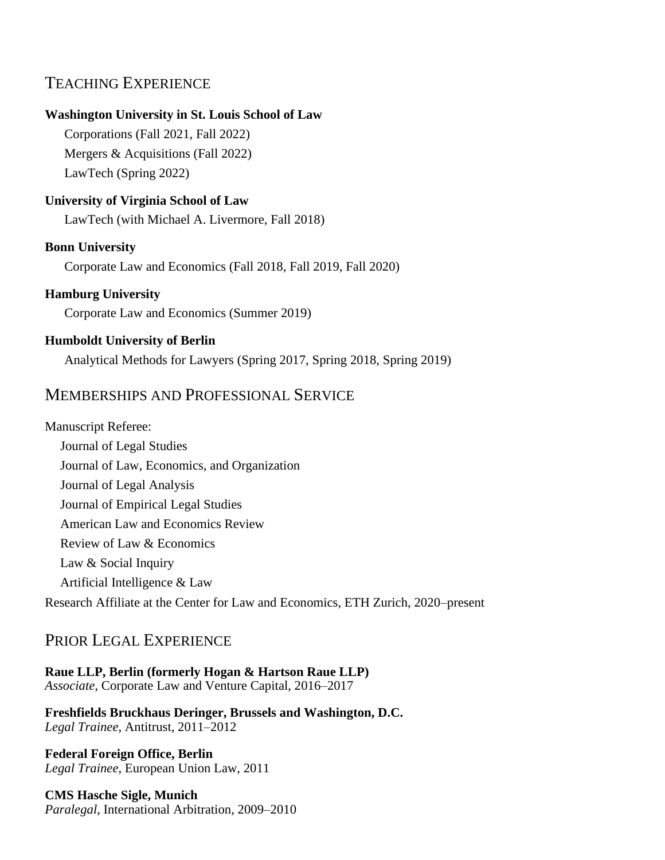# TEACHING EXPERIENCE

#### **Washington University in St. Louis School of Law**

Corporations (Fall 2021, Fall 2022) Mergers & Acquisitions (Fall 2022) LawTech (Spring 2022)

#### **University of Virginia School of Law**

LawTech (with Michael A. Livermore, Fall 2018)

#### **Bonn University**

Corporate Law and Economics (Fall 2018, Fall 2019, Fall 2020)

#### **Hamburg University**

Corporate Law and Economics (Summer 2019)

#### **Humboldt University of Berlin**

Analytical Methods for Lawyers (Spring 2017, Spring 2018, Spring 2019)

## MEMBERSHIPS AND PROFESSIONAL SERVICE

Manuscript Referee: Journal of Legal Studies Journal of Law, Economics, and Organization Journal of Legal Analysis Journal of Empirical Legal Studies American Law and Economics Review Review of Law & Economics Law & Social Inquiry Artificial Intelligence & Law Research Affiliate at the Center for Law and Economics, ETH Zurich, 2020–present

# PRIOR LEGAL EXPERIENCE

**Raue LLP, Berlin (formerly Hogan & Hartson Raue LLP)** *Associate*, Corporate Law and Venture Capital, 2016–2017

**Freshfields Bruckhaus Deringer, Brussels and Washington, D.C.** *Legal Trainee*, Antitrust, 2011–2012

**Federal Foreign Office, Berlin** *Legal Trainee*, European Union Law, 2011

**CMS Hasche Sigle, Munich** *Paralegal*, International Arbitration, 2009–2010